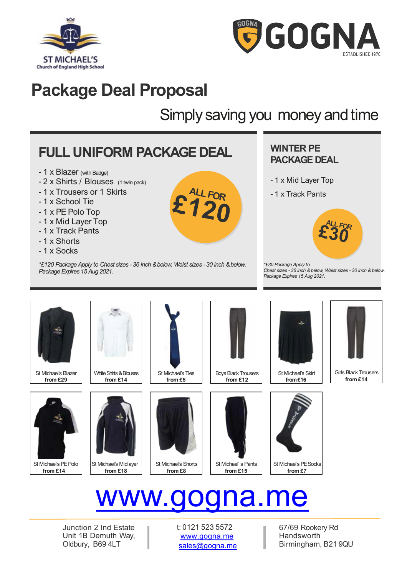



### **Package Deal Proposal**

### Simply saving you money and time

### **FULL UNIFORM PACKAGE DEAL**

- 1 x Blazer (with Badge)
- 2 x Shirts / Blouses (1 twin pack)
- 1 x Trousers or 1 Skirts
- 1 x School Tie
- 1 x PE Polo Top
- 1 x Mid Layer Top
- 1 x Track Pants
- 1 x Shorts
- 1 x Socks

*\*£120 Package Apply to Chest sizes - 36 inch & below, Waist sizes - 30 inch & below. PackageExpires 15 Aug 2021.*

### **WINTER PE PACKAGE DEAL**

- 1 x Mid Layer Top
- 1 x Track Pants



*\*£30 Package Apply to Chest sizes - 36 inch & below, Waist sizes - 30 inch & below. Package Expires 15 Aug 2021.*



St Michael's Blazer **from £29**



St Michael's PE Polo **from £14**



White Shirts & Blouses **from £14**



St Michael's Midlayer **from £18**



**£120**

**ALLFOR**

**from £5**





**Boys Black Trousers from £12**



St Michael' s Pants **from £15**



St Michael's Skirt **from£16**





Girls Black Trousers **from £14**

# www.gogna.me

Junction 2 Ind Estate Unit 1B Demuth Way, Oldbury, B69 4LT

t: 0121 523 5572 [www.gogna.me](http://www.gogna.me/) sales@gogna.me

67/69 Rookery Rd Handsworth Birmingham, B21 9QU